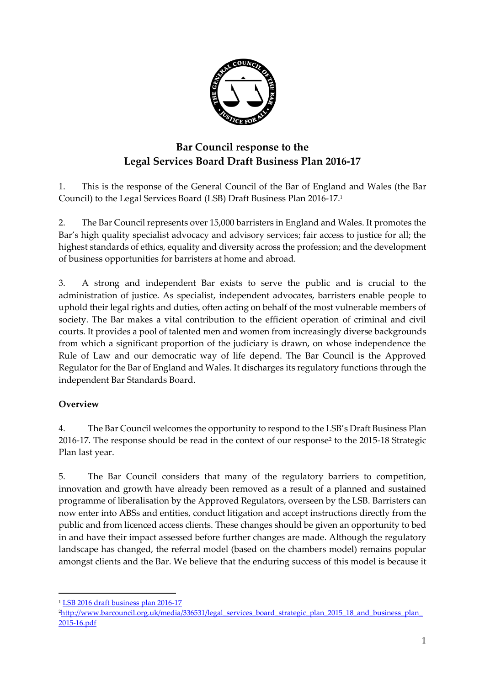

# **Bar Council response to the Legal Services Board Draft Business Plan 2016-17**

1. This is the response of the General Council of the Bar of England and Wales (the Bar Council) to the Legal Services Board (LSB) Draft Business Plan 2016-17. 1

2. The Bar Council represents over 15,000 barristers in England and Wales. It promotes the Bar's high quality specialist advocacy and advisory services; fair access to justice for all; the highest standards of ethics, equality and diversity across the profession; and the development of business opportunities for barristers at home and abroad.

3. A strong and independent Bar exists to serve the public and is crucial to the administration of justice. As specialist, independent advocates, barristers enable people to uphold their legal rights and duties, often acting on behalf of the most vulnerable members of society. The Bar makes a vital contribution to the efficient operation of criminal and civil courts. It provides a pool of talented men and women from increasingly diverse backgrounds from which a significant proportion of the judiciary is drawn, on whose independence the Rule of Law and our democratic way of life depend. The Bar Council is the Approved Regulator for the Bar of England and Wales. It discharges its regulatory functions through the independent Bar Standards Board.

# **Overview**

**.** 

4. The Bar Council welcomes the opportunity to respond to the LSB's Draft Business Plan 2016-17. The response should be read in the context of our response<sup>2</sup> to the 2015-18 Strategic Plan last year.

5. The Bar Council considers that many of the regulatory barriers to competition, innovation and growth have already been removed as a result of a planned and sustained programme of liberalisation by the Approved Regulators, overseen by the LSB. Barristers can now enter into ABSs and entities, conduct litigation and accept instructions directly from the public and from licenced access clients. These changes should be given an opportunity to bed in and have their impact assessed before further changes are made. Although the regulatory landscape has changed, the referral model (based on the chambers model) remains popular amongst clients and the Bar. We believe that the enduring success of this model is because it

<sup>1</sup> [LSB 2016 draft business plan 2016-17](http://www.legalservicesboard.org.uk/what_we_do/consultations/open/pdf/2016/20160120_LSB_Business_Plan_1617_Consultation.pdf)

<sup>&</sup>lt;sup>2</sup>http://www.barcouncil.org.uk/media/336531/legal\_services\_board\_strategic\_plan\_2015\_18\_and\_business\_plan [2015-16.pdf](http://www.barcouncil.org.uk/media/336531/legal_services_board_strategic_plan_2015_18_and_business_plan_2015-16.pdf)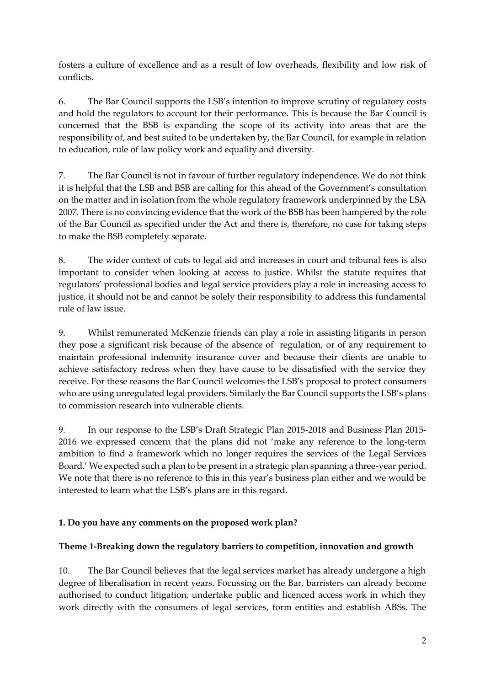fosters a culture of excellence and as a result of low overheads, flexibility and low risk of conflicts.

6. The Bar Council supports the LSB's intention to improve scrutiny of regulatory costs and hold the regulators to account for their performance. This is because the Bar Council is concerned that the BSB is expanding the scope of its activity into areas that are the responsibility of, and best suited to be undertaken by, the Bar Council, for example in relation to education, rule of law policy work and equality and diversity.

7. The Bar Council is not in favour of further regulatory independence. We do not think it is helpful that the LSB and BSB are calling for this ahead of the Government's consultation on the matter and in isolation from the whole regulatory framework underpinned by the LSA 2007. There is no convincing evidence that the work of the BSB has been hampered by the role of the Bar Council as specified under the Act and there is, therefore, no case for taking steps to make the BSB completely separate.

8. The wider context of cuts to legal aid and increases in court and tribunal fees is also important to consider when looking at access to justice. Whilst the statute requires that regulators' professional bodies and legal service providers play a role in increasing access to justice, it should not be and cannot be solely their responsibility to address this fundamental rule of law issue.

9. Whilst remunerated McKenzie friends can play a role in assisting litigants in person they pose a significant risk because of the absence of regulation, or of any requirement to maintain professional indemnity insurance cover and because their clients are unable to achieve satisfactory redress when they have cause to be dissatisfied with the service they receive. For these reasons the Bar Council welcomes the LSB's proposal to protect consumers who are using unregulated legal providers. Similarly the Bar Council supports the LSB's plans to commission research into vulnerable clients.

9. In our response to the LSB's Draft Strategic Plan 2015-2018 and Business Plan 2015- 2016 we expressed concern that the plans did not 'make any reference to the long-term ambition to find a framework which no longer requires the services of the Legal Services Board.' We expected such a plan to be present in a strategic plan spanning a three-year period. We note that there is no reference to this in this year's business plan either and we would be interested to learn what the LSB's plans are in this regard.

# **1. Do you have any comments on the proposed work plan?**

# **Theme 1-Breaking down the regulatory barriers to competition, innovation and growth**

10. The Bar Council believes that the legal services market has already undergone a high degree of liberalisation in recent years. Focussing on the Bar, barristers can already become authorised to conduct litigation, undertake public and licenced access work in which they work directly with the consumers of legal services, form entities and establish ABSs. The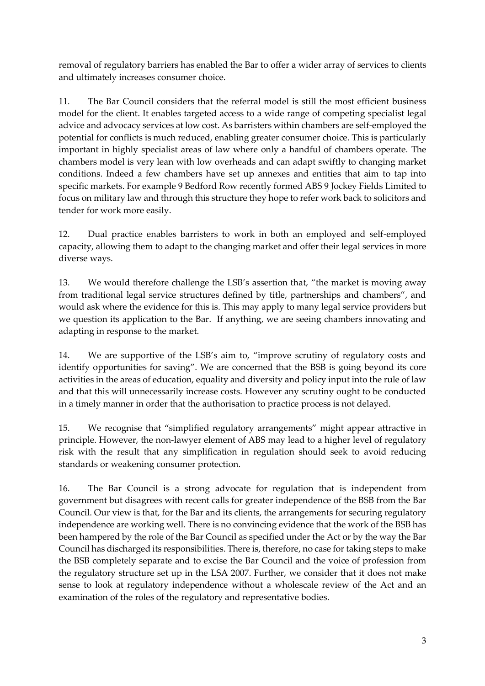removal of regulatory barriers has enabled the Bar to offer a wider array of services to clients and ultimately increases consumer choice.

11. The Bar Council considers that the referral model is still the most efficient business model for the client. It enables targeted access to a wide range of competing specialist legal advice and advocacy services at low cost. As barristers within chambers are self-employed the potential for conflicts is much reduced, enabling greater consumer choice. This is particularly important in highly specialist areas of law where only a handful of chambers operate. The chambers model is very lean with low overheads and can adapt swiftly to changing market conditions. Indeed a few chambers have set up annexes and entities that aim to tap into specific markets. For example 9 Bedford Row recently formed ABS 9 Jockey Fields Limited to focus on military law and through this structure they hope to refer work back to solicitors and tender for work more easily.

12. Dual practice enables barristers to work in both an employed and self-employed capacity, allowing them to adapt to the changing market and offer their legal services in more diverse ways.

13. We would therefore challenge the LSB's assertion that, "the market is moving away from traditional legal service structures defined by title, partnerships and chambers", and would ask where the evidence for this is. This may apply to many legal service providers but we question its application to the Bar. If anything, we are seeing chambers innovating and adapting in response to the market.

14. We are supportive of the LSB's aim to, "improve scrutiny of regulatory costs and identify opportunities for saving". We are concerned that the BSB is going beyond its core activities in the areas of education, equality and diversity and policy input into the rule of law and that this will unnecessarily increase costs. However any scrutiny ought to be conducted in a timely manner in order that the authorisation to practice process is not delayed.

15. We recognise that "simplified regulatory arrangements" might appear attractive in principle. However, the non-lawyer element of ABS may lead to a higher level of regulatory risk with the result that any simplification in regulation should seek to avoid reducing standards or weakening consumer protection.

16. The Bar Council is a strong advocate for regulation that is independent from government but disagrees with recent calls for greater independence of the BSB from the Bar Council. Our view is that, for the Bar and its clients, the arrangements for securing regulatory independence are working well. There is no convincing evidence that the work of the BSB has been hampered by the role of the Bar Council as specified under the Act or by the way the Bar Council has discharged its responsibilities. There is, therefore, no case for taking steps to make the BSB completely separate and to excise the Bar Council and the voice of profession from the regulatory structure set up in the LSA 2007. Further, we consider that it does not make sense to look at regulatory independence without a wholescale review of the Act and an examination of the roles of the regulatory and representative bodies.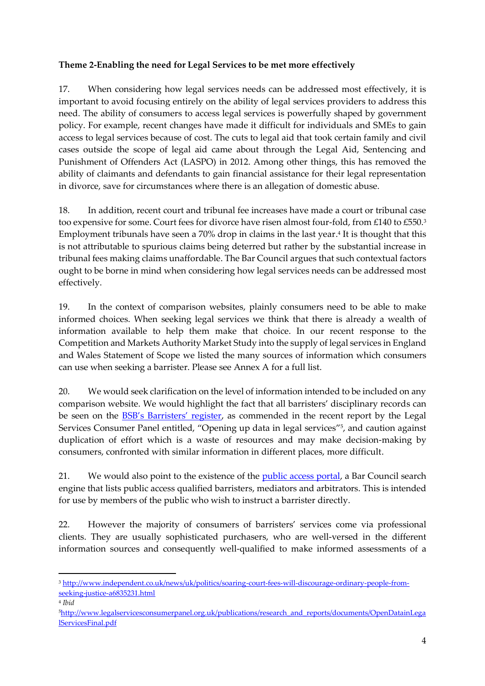### **Theme 2-Enabling the need for Legal Services to be met more effectively**

17. When considering how legal services needs can be addressed most effectively, it is important to avoid focusing entirely on the ability of legal services providers to address this need. The ability of consumers to access legal services is powerfully shaped by government policy. For example, recent changes have made it difficult for individuals and SMEs to gain access to legal services because of cost. The cuts to legal aid that took certain family and civil cases outside the scope of legal aid came about through the Legal Aid, Sentencing and Punishment of Offenders Act (LASPO) in 2012. Among other things, this has removed the ability of claimants and defendants to gain financial assistance for their legal representation in divorce, save for circumstances where there is an allegation of domestic abuse.

18. In addition, recent court and tribunal fee increases have made a court or tribunal case too expensive for some. Court fees for divorce have risen almost four-fold, from £140 to £550.<sup>3</sup> Employment tribunals have seen a 70% drop in claims in the last year. 4 It is thought that this is not attributable to spurious claims being deterred but rather by the substantial increase in tribunal fees making claims unaffordable. The Bar Council argues that such contextual factors ought to be borne in mind when considering how legal services needs can be addressed most effectively.

19. In the context of comparison websites, plainly consumers need to be able to make informed choices. When seeking legal services we think that there is already a wealth of information available to help them make that choice. In our recent response to the Competition and Markets Authority Market Study into the supply of legal services in England and Wales Statement of Scope we listed the many sources of information which consumers can use when seeking a barrister. Please see Annex A for a full list.

20. We would seek clarification on the level of information intended to be included on any comparison website. We would highlight the fact that all barristers' disciplinary records can be seen on the [BSB's Barristers' register](https://www.barstandardsboard.org.uk/regulatory-requirements/the-barristers), as commended in the recent report by the Legal Services Consumer Panel entitled, "Opening up data in legal services" 5 , and caution against duplication of effort which is a waste of resources and may make decision-making by consumers, confronted with similar information in different places, more difficult.

21. We would also point to the existence of the *public access portal*, a Bar Council search engine that lists public access qualified barristers, mediators and arbitrators. This is intended for use by members of the public who wish to instruct a barrister directly.

22. However the majority of consumers of barristers' services come via professional clients. They are usually sophisticated purchasers, who are well-versed in the different information sources and consequently well-qualified to make informed assessments of a

1

<sup>3</sup> [http://www.independent.co.uk/news/uk/politics/soaring-court-fees-will-discourage-ordinary-people-from](http://www.independent.co.uk/news/uk/politics/soaring-court-fees-will-discourage-ordinary-people-from-seeking-justice-a6835231.html)[seeking-justice-a6835231.html](http://www.independent.co.uk/news/uk/politics/soaring-court-fees-will-discourage-ordinary-people-from-seeking-justice-a6835231.html)

<sup>4</sup> *Ibid*

<sup>5</sup>[http://www.legalservicesconsumerpanel.org.uk/publications/research\\_and\\_reports/documents/OpenDatainLega](http://www.legalservicesconsumerpanel.org.uk/publications/research_and_reports/documents/OpenDatainLegalServicesFinal.pdf) [lServicesFinal.pdf](http://www.legalservicesconsumerpanel.org.uk/publications/research_and_reports/documents/OpenDatainLegalServicesFinal.pdf)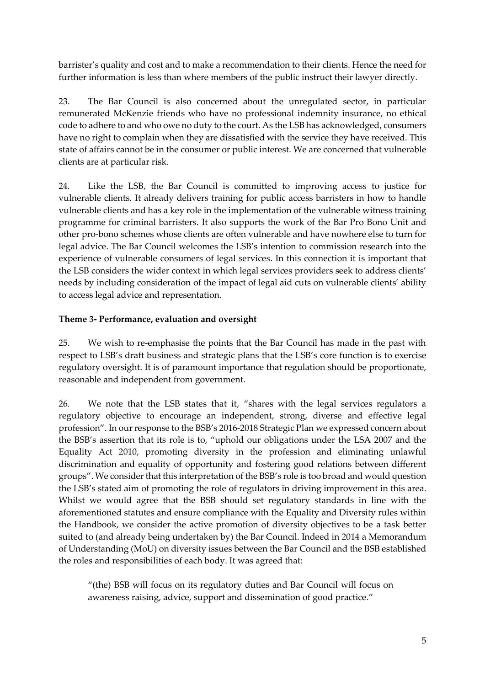barrister's quality and cost and to make a recommendation to their clients. Hence the need for further information is less than where members of the public instruct their lawyer directly.

23. The Bar Council is also concerned about the unregulated sector, in particular remunerated McKenzie friends who have no professional indemnity insurance, no ethical code to adhere to and who owe no duty to the court. As the LSB has acknowledged, consumers have no right to complain when they are dissatisfied with the service they have received. This state of affairs cannot be in the consumer or public interest. We are concerned that vulnerable clients are at particular risk.

24. Like the LSB, the Bar Council is committed to improving access to justice for vulnerable clients. It already delivers training for public access barristers in how to handle vulnerable clients and has a key role in the implementation of the vulnerable witness training programme for criminal barristers. It also supports the work of the Bar Pro Bono Unit and other pro-bono schemes whose clients are often vulnerable and have nowhere else to turn for legal advice. The Bar Council welcomes the LSB's intention to commission research into the experience of vulnerable consumers of legal services. In this connection it is important that the LSB considers the wider context in which legal services providers seek to address clients' needs by including consideration of the impact of legal aid cuts on vulnerable clients' ability to access legal advice and representation.

### **Theme 3- Performance, evaluation and oversight**

25. We wish to re-emphasise the points that the Bar Council has made in the past with respect to LSB's draft business and strategic plans that the LSB's core function is to exercise regulatory oversight. It is of paramount importance that regulation should be proportionate, reasonable and independent from government.

26. We note that the LSB states that it, "shares with the legal services regulators a regulatory objective to encourage an independent, strong, diverse and effective legal profession". In our response to the BSB's 2016-2018 Strategic Plan we expressed concern about the BSB's assertion that its role is to, "uphold our obligations under the LSA 2007 and the Equality Act 2010, promoting diversity in the profession and eliminating unlawful discrimination and equality of opportunity and fostering good relations between different groups". We consider that this interpretation of the BSB's role is too broad and would question the LSB's stated aim of promoting the role of regulators in driving improvement in this area. Whilst we would agree that the BSB should set regulatory standards in line with the aforementioned statutes and ensure compliance with the Equality and Diversity rules within the Handbook, we consider the active promotion of diversity objectives to be a task better suited to (and already being undertaken by) the Bar Council. Indeed in 2014 a Memorandum of Understanding (MoU) on diversity issues between the Bar Council and the BSB established the roles and responsibilities of each body. It was agreed that:

"(the) BSB will focus on its regulatory duties and Bar Council will focus on awareness raising, advice, support and dissemination of good practice."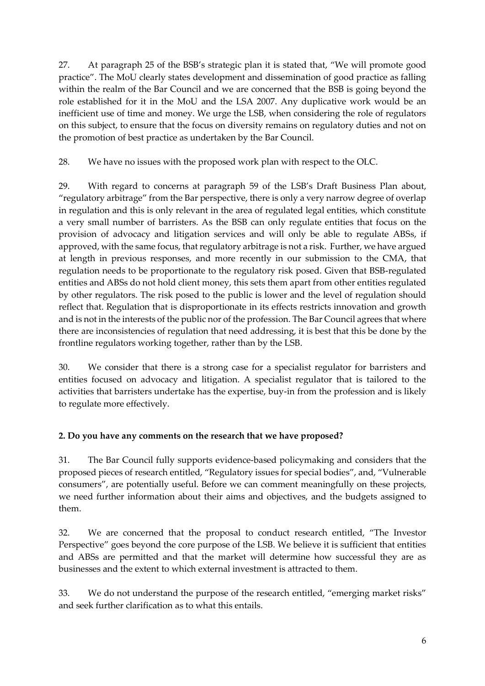27. At paragraph 25 of the BSB's strategic plan it is stated that, "We will promote good practice". The MoU clearly states development and dissemination of good practice as falling within the realm of the Bar Council and we are concerned that the BSB is going beyond the role established for it in the MoU and the LSA 2007. Any duplicative work would be an inefficient use of time and money. We urge the LSB, when considering the role of regulators on this subject, to ensure that the focus on diversity remains on regulatory duties and not on the promotion of best practice as undertaken by the Bar Council.

28. We have no issues with the proposed work plan with respect to the OLC.

29. With regard to concerns at paragraph 59 of the LSB's Draft Business Plan about, "regulatory arbitrage" from the Bar perspective, there is only a very narrow degree of overlap in regulation and this is only relevant in the area of regulated legal entities, which constitute a very small number of barristers. As the BSB can only regulate entities that focus on the provision of advocacy and litigation services and will only be able to regulate ABSs, if approved, with the same focus, that regulatory arbitrage is not a risk. Further, we have argued at length in previous responses, and more recently in our submission to the CMA, that regulation needs to be proportionate to the regulatory risk posed. Given that BSB-regulated entities and ABSs do not hold client money, this sets them apart from other entities regulated by other regulators. The risk posed to the public is lower and the level of regulation should reflect that. Regulation that is disproportionate in its effects restricts innovation and growth and is not in the interests of the public nor of the profession. The Bar Council agrees that where there are inconsistencies of regulation that need addressing, it is best that this be done by the frontline regulators working together, rather than by the LSB.

30. We consider that there is a strong case for a specialist regulator for barristers and entities focused on advocacy and litigation. A specialist regulator that is tailored to the activities that barristers undertake has the expertise, buy-in from the profession and is likely to regulate more effectively.

# **2. Do you have any comments on the research that we have proposed?**

31. The Bar Council fully supports evidence-based policymaking and considers that the proposed pieces of research entitled, "Regulatory issues for special bodies", and, "Vulnerable consumers", are potentially useful. Before we can comment meaningfully on these projects, we need further information about their aims and objectives, and the budgets assigned to them.

32. We are concerned that the proposal to conduct research entitled, "The Investor Perspective" goes beyond the core purpose of the LSB. We believe it is sufficient that entities and ABSs are permitted and that the market will determine how successful they are as businesses and the extent to which external investment is attracted to them.

33. We do not understand the purpose of the research entitled, "emerging market risks" and seek further clarification as to what this entails.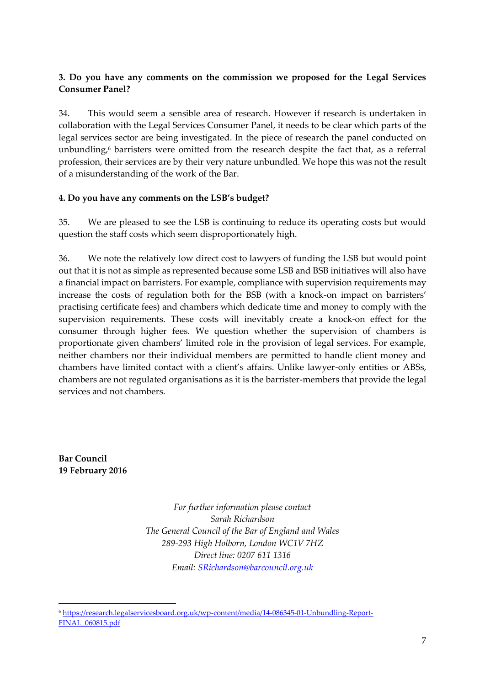### **3. Do you have any comments on the commission we proposed for the Legal Services Consumer Panel?**

34. This would seem a sensible area of research. However if research is undertaken in collaboration with the Legal Services Consumer Panel, it needs to be clear which parts of the legal services sector are being investigated. In the piece of research the panel conducted on unbundling, <sup>6</sup> barristers were omitted from the research despite the fact that, as a referral profession, their services are by their very nature unbundled. We hope this was not the result of a misunderstanding of the work of the Bar.

#### **4. Do you have any comments on the LSB's budget?**

35. We are pleased to see the LSB is continuing to reduce its operating costs but would question the staff costs which seem disproportionately high.

36. We note the relatively low direct cost to lawyers of funding the LSB but would point out that it is not as simple as represented because some LSB and BSB initiatives will also have a financial impact on barristers. For example, compliance with supervision requirements may increase the costs of regulation both for the BSB (with a knock-on impact on barristers' practising certificate fees) and chambers which dedicate time and money to comply with the supervision requirements. These costs will inevitably create a knock-on effect for the consumer through higher fees. We question whether the supervision of chambers is proportionate given chambers' limited role in the provision of legal services. For example, neither chambers nor their individual members are permitted to handle client money and chambers have limited contact with a client's affairs. Unlike lawyer-only entities or ABSs, chambers are not regulated organisations as it is the barrister-members that provide the legal services and not chambers.

**Bar Council 19 February 2016**

**.** 

*For further information please contact Sarah Richardson The General Council of the Bar of England and Wales 289-293 High Holborn, London WC1V 7HZ Direct line: 0207 611 1316 Email: SRichardson@barcouncil.org.uk*

<sup>6</sup> [https://research.legalservicesboard.org.uk/wp-content/media/14-086345-01-Unbundling-Report-](https://research.legalservicesboard.org.uk/wp-content/media/14-086345-01-Unbundling-Report-FINAL_060815.pdf)[FINAL\\_060815.pdf](https://research.legalservicesboard.org.uk/wp-content/media/14-086345-01-Unbundling-Report-FINAL_060815.pdf)